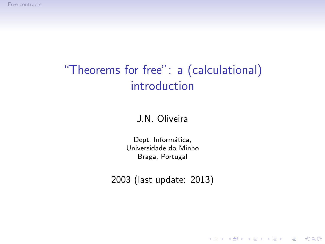# "Theorems for free": a (calculational) introduction

#### J.N. Oliveira

Dept. Informática, Universidade do Minho Braga, Portugal

2003 (last update: 2013)

K ロ ▶ K @ ▶ K 할 > K 할 > 1 할 > 1 이익어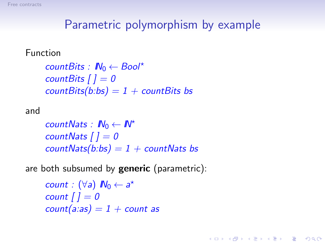# Parametric polymorphism by example

**A DIA K RIA K E A CHA K H A VIO** 

#### Function

```
countBits : IN0 ← Bool⋆
countBits [ ] = 0
countBits(b:bs) = 1 + countBits bs
```
#### and

*countNats :*  $\mathbb{N}_0 \leftarrow \mathbb{N}^*$ *countNats [ ] = 0 countNats(b:bs) = 1 + countNats bs*

are both subsumed by **generic** (parametric):

```
count : (\forall a) \mathbb{N}_0 \leftarrow a^*count [ ] = 0
count(a:as) = 1 + count
```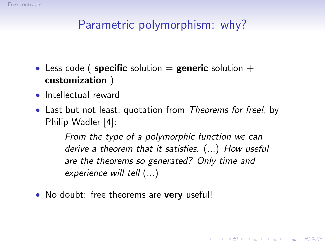

# Parametric polymorphism: why?

- Less code ( specific solution  $=$  generic solution  $+$ customization )
- Intellectual reward
- Last but not least, quotation from *Theorems for free!*, by Philip Wadler [\[4\]](#page-33-0):

*From the type of a polymorphic function we can derive a theorem that it satisfies.* (...) *How useful are the theorems so generated? Only time and experience will tell* (...)

**A DIA K RIA K E A CHA K H A VIO** 

• No doubt: free theorems are very useful!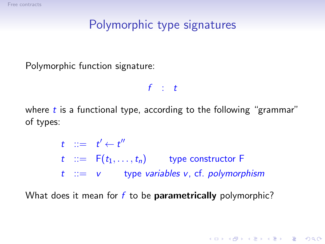# Polymorphic type signatures

Polymorphic function signature:

*f* : *t*

where *t* is a functional type, according to the following "grammar" of types:

> $t$  ::=  $t' \leftarrow t''$  $t$  ::=  $F(t_1, \ldots, t_n)$  type constructor F *t* ::= *v* type *variables v*, cf. *polymorphism*

> > **A DIA K RIA K E A CHA K H A VIO**

What does it mean for *f* to be parametrically polymorphic?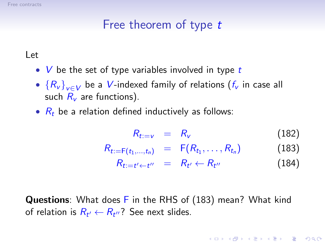# Free theorem of type t

#### Let

- *V* be the set of type variables involved in type *t*
- {*R*<sup>v</sup> }v∈<sup>V</sup> be a *V*-indexed family of relations (*f*<sup>v</sup> in case all such  $R_v$  are functions).
- $R_t$  be a relation defined inductively as follows:

<span id="page-4-1"></span>
$$
R_{t:=v} = R_v \tag{182}
$$

$$
R_{t:=F(t_1,...,t_n)} = F(R_{t_1},...,R_{t_n})
$$
 (183)

$$
R_{t:=t'+t''} = R_{t'} \leftarrow R_{t''} \tag{184}
$$

<span id="page-4-2"></span><span id="page-4-0"></span>4 D > 4 P > 4 E > 4 E > E + 9 Q O

Questions: What does F in the RHS of [\(183\)](#page-4-0) mean? What kind of relation is  $R_{t'} \leftarrow R_{t''}$ ? See next slides.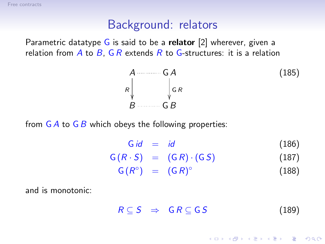## Background: relators

Parametric datatype  $G$  is said to be a **relator** [\[2\]](#page-33-1) wherever, given a relation from  $\overline{A}$  to  $\overline{B}$ ,  $\overline{G}R$  extends  $\overline{R}$  to  $\overline{G}$ -structures: it is a relation

$$
A \longrightarrow G A
$$
\n
$$
R \downarrow G R
$$
\n
$$
B \longrightarrow G B
$$
\n(185)

from G*A* to G*B* which obeys the following properties:

<span id="page-5-1"></span><span id="page-5-0"></span>

| G id<br>$=$ id | (186) |
|----------------|-------|
|----------------|-------|

 $G(R \cdot S) = (GR) \cdot (GS)$  (187)  $G(R^{\circ}) = (GR)^{\circ}$ (188)

and is monotonic:

$$
R \subseteq S \Rightarrow GR \subseteq GS \qquad (189)
$$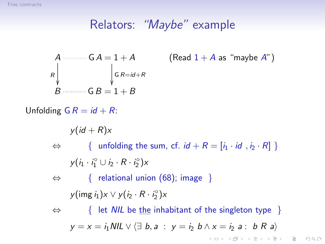# Relators: "Maybe" example

$$
A \longrightarrow G A = 1 + A
$$
  
\n
$$
R \downarrow \qquad \qquad G B = 1 + B
$$
  
\n
$$
B \longrightarrow G B = 1 + B
$$

(Read  $1 + A$  as "maybe  $A$ ")

Unfolding  $GR = id + R$ :

 $y(id + R)x$ 

 $\Leftrightarrow$  { unfolding the sum, cf. *id* +  $R = [i_1 \cdot id, i_2 \cdot R]$  }  $y(i_1 \cdot i_1^{\circ} \cup i_2 \cdot R \cdot i_2^{\circ})$ *x* 

⇔ { relational union (68); image }  $y(\text{img } i_1) \times \vee y(i_2 \cdot R \cdot i_2^{\circ}) \times$ 

⇔ { let *NIL* be the inhabitant of the singleton type } *y* = *x* = *i*<sub>1</sub> *NIL*  $\vee$   $\langle \exists$  *b*, *a* : *y* = *i*<sub>2</sub> *b*  $\wedge$  *x* = *i*<sub>2</sub> *a* : *b R a* $\rangle$ **KORK EX KEY KEY YOUR**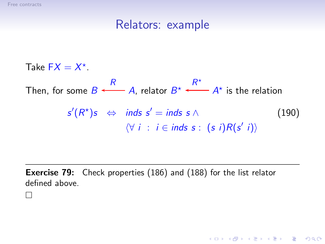П

#### <span id="page-7-0"></span>Relators: example

Take  $FX = X^*$ . Then, for some  $B \longleftarrow A$ *R* , relator  $B^{\star} \stackrel{R^{\star}}{\longleftarrow} A^{\star}$ is the relation  $s'(R<sup>★</sup>)s$  ⇔ *inds s'* = *inds s* ∧ (190)  $\langle \forall i : i \in \text{inds } s : (s i)R(s' i) \rangle$ 

**Exercise 79:** Check properties [\(186\)](#page-5-0) and [\(188\)](#page-5-1) for the list relator defined above.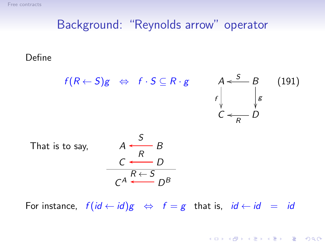## Background: "Reynolds arrow" operator

#### Define



For instance,  $f(id \leftarrow id)g \Leftrightarrow f = g$  that is,  $id \leftarrow id = id$ 

<span id="page-8-0"></span>**KORK ERKER ER AGA**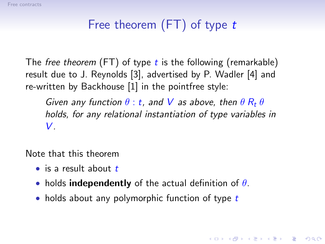# Free theorem (FT) of type t

The *free theorem* (FT) of type *t* is the following (remarkable) result due to J. Reynolds [\[3\]](#page-33-2), advertised by P. Wadler [\[4\]](#page-33-0) and re-written by Backhouse [\[1\]](#page-33-3) in the pointfree style:

*Given any function*  $\theta$  : *t*, and *V* as above, then  $\theta$   $R_t$   $\theta$ *holds, for any relational instantiation of type variables in V.*

**A DIA K RIA K E A CHA K H A VIO** 

Note that this theorem

- is a result about *t*
- holds independently of the actual definition of  $\theta$ .
- holds about any polymorphic function of type *t*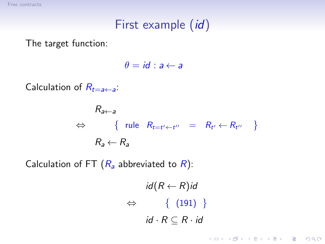# First example *(id)*

The target function:

 $\theta = id : a \leftarrow a$ 

Calculation of  $R_{t=a\leftarrow a}$ :

$$
R_{a\leftarrow a}
$$
\n
$$
\Leftrightarrow \{ \text{ rule } R_{t=t'\leftarrow t''} = R_{t'} \leftarrow R_{t''} \}
$$
\n
$$
R_a \leftarrow R_a
$$

Calculation of FT  $(R_a$  abbreviated to  $R$ ):

$$
id(R \leftarrow R)id
$$
  
\n
$$
\Leftrightarrow \{ (191) \}
$$
  
\n
$$
id \cdot R \subseteq R \cdot id
$$

K ロ ▶ K @ ▶ K 할 > K 할 > 1 할 > 1 이익어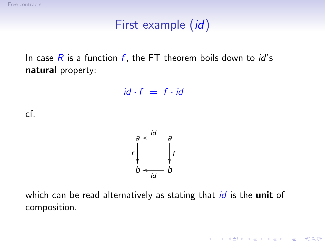# First example *(id)*

In case *R* is a function *f* , the FT theorem boils down to *id*'s natural property:

$$
id \cdot f = f \cdot id
$$

cf.



which can be read alternatively as stating that *id* is the unit of composition.

K ロ X K @ X K 할 X K 할 X 및 할 X 9 Q Q\*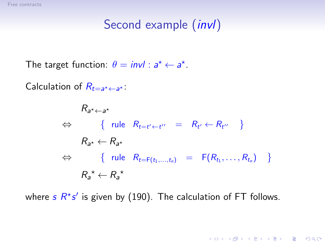The target function:  $\theta = invl : a^* \leftarrow a^*$ .

Calculation of  $R_{t=a^{\star}\leftarrow a^{\star}}$ :

 $R_{a^{\star}\leftarrow a^{\star}}$  $\Leftrightarrow \qquad \{ \text{ rule } R_{t=t'+t''} = R_{t'} \leftarrow R_{t''} \}$  $R_{a^{\star}} \leftarrow R_{a^{\star}}$ ⇔ { rule  $R_{t=F(t_1,...,t_n)}$  =  $F(R_{t_1},...,R_{t_n})$  }  $R_a^{\star} \leftarrow R_a^{\star}$ 

where  $s$   $R^{\star}s'$  is given by [\(190\)](#page-7-0). The calculation of FT follows.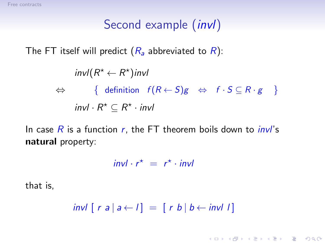The FT itself will predict  $(R_a$  abbreviated to  $R$ ):

$$
\text{invl}(R^* \leftarrow R^*)\text{invl}
$$
\n
$$
\Leftrightarrow \{ \text{ definition } f(R \leftarrow S)g \Leftrightarrow f \cdot S \subseteq R \cdot g \}
$$
\n
$$
\text{invl} \cdot R^* \subseteq R^* \cdot \text{invl}
$$

In case *R* is a function *r*, the FT theorem boils down to *invl*'s natural property:

 $invl \cdot r^* = r^* \cdot invl$ 

that is,

 $inv[\lceil r \rceil a \rceil a \leftarrow I] = [\lceil r \rceil b \rceil b \leftarrow inv[\lceil r \rceil b \rceil]$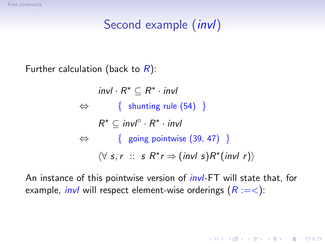Further calculation (back to *R*):

 $invl \cdot R^* \subseteq R^* \cdot invl$  $\Leftrightarrow \{$  shunting rule (54) }  $R^{\star} \subseteq invI^{\circ} \cdot R^{\star} \cdot invI$  $\Leftrightarrow \{$  going pointwise (39, 47) }  $\langle \forall s, r : s \mathbb{R}^{\star} r \Rightarrow (inv \mid s) \mathbb{R}^{\star}(inv \mid r) \rangle$ 

An instance of this pointwise version of *invl*-FT will state that, for example, *invl* will respect element-wise orderings ( $R := <$ ):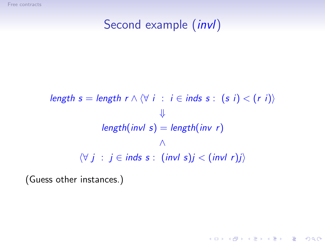$$
\begin{aligned}\n\text{length } s &= \text{length } r \land \langle \forall i : i \in \text{inds } s : (s i) < (r i) \rangle \\
& \Downarrow \\
\text{length}(\text{inv } s) &= \text{length}(\text{inv } r) \\
& \wedge \\
\langle \forall j : j \in \text{inds } s : (\text{inv } s)j < (\text{inv } r)j \rangle\n\end{aligned}
$$

K ロ X イロ X K ミ X K ミ X ミ X Y Q Q Q

(Guess other instances.)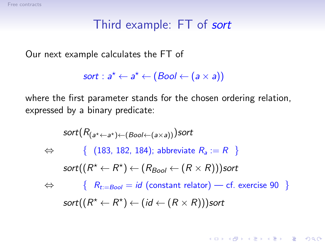## Third example: FT of sort

Our next example calculates the FT of

```
sort: a^{\star} \leftarrow a^{\star} \leftarrow (Bool \leftarrow (a \times a))
```
where the first parameter stands for the chosen ordering relation, expressed by a binary predicate:

$$
sort(R_{(a^* \leftarrow a^*) \leftarrow (Bool \leftarrow (a \times a))})sort
$$
\n
$$
\Leftrightarrow \{ (183, 182, 184); \text{ abbreviate } R_a := R \}
$$
\n
$$
sort((R^* \leftarrow R^*) \leftarrow (R_{Bool} \leftarrow (R \times R)) )sort
$$
\n
$$
\Leftrightarrow \{ R_{t := Bool} = id \text{ (constant relator)} - cf. \text{ exercise 90 } \}
$$
\n
$$
sort((R^* \leftarrow R^*) \leftarrow (id \leftarrow (R \times R)) )sort
$$

**KORK EX KEY KEY YOUR**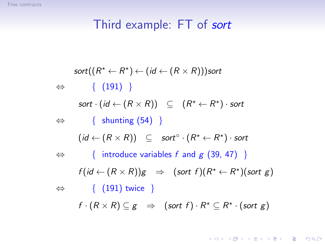# Third example: FT of sort

$$
sort((R^* \leftarrow R^*) \leftarrow (id \leftarrow (R \times R))) \text{sort}
$$
\n
$$
\Leftrightarrow \{ (191) \}
$$
\n
$$
sort \cdot (id \leftarrow (R \times R)) \subseteq (R^* \leftarrow R^*) \cdot \text{sort}
$$
\n
$$
\Leftrightarrow \{ \text{ shunting (54)} \}
$$
\n
$$
(id \leftarrow (R \times R)) \subseteq \text{sort}^{\circ} \cdot (R^* \leftarrow R^*) \cdot \text{sort}
$$
\n
$$
\Leftrightarrow \{ \text{ introduce variables } f \text{ and } g (39, 47) \}
$$
\n
$$
f (id \leftarrow (R \times R)) g \Rightarrow (\text{sort } f) (R^* \leftarrow R^*) (\text{sort } g)
$$
\n
$$
\Leftrightarrow \{ (191) \text{ twice } \}
$$
\n
$$
f \cdot (R \times R) \subseteq g \Rightarrow (\text{sort } f) \cdot R^* \subseteq R^* \cdot (\text{sort } g)
$$

**イロトメタトメミトメミト (ミ) の女々**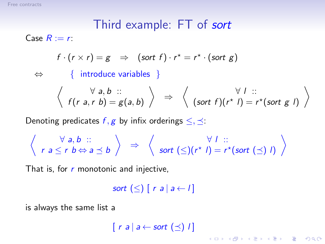## Third example: FT of sort

Case  $R := r$ :

$$
f \cdot (r \times r) = g \Rightarrow (sort f) \cdot r^* = r^* \cdot (sort g)
$$

⇔ { introduce variables }

$$
\left\langle \begin{array}{c} \forall a,b \ :: \\ f(r a, r b) = g(a,b) \end{array} \right\rangle \Rightarrow \left\langle \begin{array}{c} \forall l \ :: \\ (\text{sort } f)(r^* l) = r^*(\text{sort } g \ l) \end{array} \right\rangle
$$

K ロ ▶ K @ ▶ K 할 > K 할 > 1 할 > 1 이익어

Denoting predicates  $f, g$  by infix orderings  $\leq, \preceq$ :

$$
\left\langle \begin{array}{c} \forall a,b :: \\ r a \leq r b \Leftrightarrow a \preceq b \end{array} \right\rangle \Rightarrow \left\langle \begin{array}{c} \forall I :: \\ \text{sort } (\leq)(r^* I) = r^*(\text{sort } (\preceq) I) \end{array} \right\rangle
$$

That is, for *r* monotonic and injective,

*sort*  $(\leq)$   $\lceil r a \rceil$   $a \neq l$ 

is always the same list a

 $\lceil r a \rceil a \leftarrow sort \left( \preceq \right) l \rceil$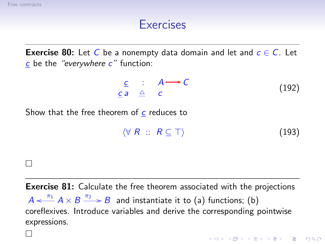$\Box$ 

 $\Box$ 

## Exercises

**Exercise 80:** Let *C* be a nonempty data domain and let and  $c \in C$ . Let *c* be the *"everywhere c"* function:

$$
\begin{array}{cccc}\n\underline{c} & \vdots & A \longrightarrow C \\
\underline{c} & a & \triangle & c\n\end{array} \tag{192}
$$

Show that the free theorem of *c* reduces to

$$
\langle \forall \; R \; :: \; R \subseteq \top \rangle \tag{193}
$$

**Exercise 81:** Calculate the free theorem associated with the projections  $A \xleftarrow{\pi_1} A \times B \xrightarrow{\pi_2} B$  and instantiate it to (a) functions; (b) coreflexives. Introduce variables and derive the corresponding pointwise expressions.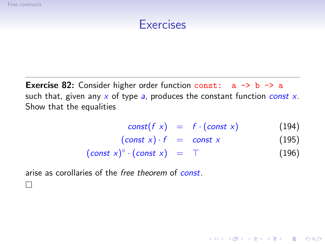$\Box$ 

#### **Exercises**

**Exercise 82:** Consider higher order function const:  $a \rightarrow b \rightarrow a$ such that, given any *x* of type *a*, produces the constant function *const x*. Show that the equalities

$$
const(f x) = f \cdot (const x) \qquad (194)
$$

K ロ > K @ > K 할 > K 할 > 1 할 : ⊙ Q Q^

$$
(const x) \cdot f = const x \qquad (195)
$$

$$
(const x)^{\circ} \cdot (const x) = \top \tag{196}
$$

arise as corollaries of the *free theorem* of *const*.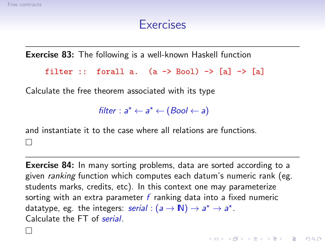#### Exercises

Exercise 83: The following is a well-known Haskell function

```
filter :: forall a. (a \rightarrow Bool) \rightarrow [a] \rightarrow [a]
```
Calculate the free theorem associated with its type

 $filter: a^* \leftarrow a^* \leftarrow (Bool \leftarrow a)$ 

and instantiate it to the case where all relations are functions.

Exercise 84: In many sorting problems, data are sorted according to a given *ranking* function which computes each datum's numeric rank (eg. students marks, credits, etc). In this context one may parameterize sorting with an extra parameter *f* ranking data into a fixed numeric datatype, eg. the integers: *serial* :  $(a \rightarrow \mathbb{N}) \rightarrow a^* \rightarrow a^*$ . Calculate the FT of *serial*.

**A DIA K RIA K E A CHA K H A VIO** 

 $\Box$ 

 $\mathbf{I}$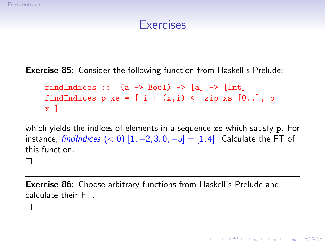$\mathbf{I}$ 

П

#### Exercises

Exercise 85: Consider the following function from Haskell's Prelude:

findIndices ::  $(a \rightarrow Bool) \rightarrow [al \rightarrow [Int]$ findIndices p xs =  $[i | (x,i)$  <- zip xs  $[0..]$ , p  $x<sub>1</sub>$ 

which yields the indices of elements in a sequence xs which satisfy p. For instance, *findIndices* (< 0)  $[1, -2, 3, 0, -5] = [1, 4]$ . Calculate the FT of this function.

Exercise 86: Choose arbitrary functions from Haskell's Prelude and calculate their FT.

**KORK ERKER ER AGA**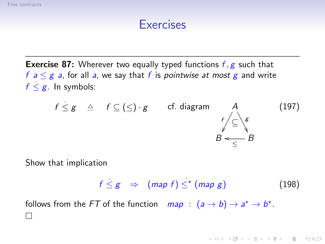## **Exercises**

Exercise 87: Wherever two equally typed functions *f* , *g* such that *f*  $a \leq g$  *a*, for all *a*, we say that *f* is *pointwise at most g* and write  $f \leq g$ . In symbols:

$$
f \leq g \quad \triangleq \quad f \subseteq (\leq) \cdot g \qquad \text{cf. diagram} \qquad A \qquad (197)
$$
\n
$$
B \leq \frac{f}{\leq} B
$$

Show that implication

$$
f \leq g \quad \Rightarrow \quad (map \ f) \leq^{\star} (map \ g) \tag{198}
$$

**A DIA K RIA K E A CHA K H A VIO** 

follows from the *FT* of the function  $map : (a \rightarrow b) \rightarrow a^* \rightarrow b^*$ . п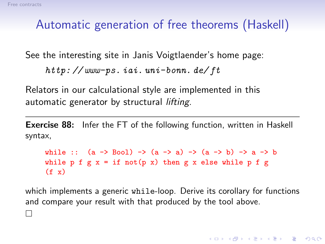П

# Automatic generation of free theorems (Haskell)

See the interesting site in Janis Voigtlaender's home page:

```
http: // www-ps. iai. uni-bonn. de/ ft
```
Relators in our calculational style are implemented in this automatic generator by structural *lifting*.

**Exercise 88:** Infer the FT of the following function, written in Haskell syntax,

```
while :: (a -> Boo1) -> (a -> a) -> (a -> b) -> a -> bwhile p f g x = if not(p x) then g x else while p f g(f \ x)
```
which implements a generic while-loop. Derive its corollary for functions and compare your result with that produced by the tool above.

4 D > 4 P > 4 E > 4 E > E + 9 Q O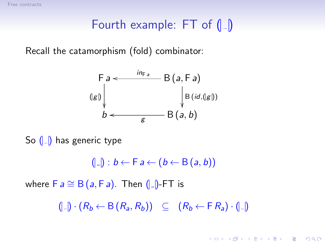# Fourth example:  $FT$  of  $\left(\begin{array}{c} 0 \\ \end{array}\right)$

Recall the catamorphism (fold) combinator:



So  $(|_$  has generic type

 $(|_e|): b \leftarrow F a \leftarrow (b \leftarrow B(a, b))$ 

where  $F a \cong B(a, Fa)$ . Then  $(|a|)$ -FT is

 $(|_$ |) \cdot (R\_b \leftarrow B(R\_a, R\_b)) \subseteq (R\_b \leftarrow F R\_a) \cdot (|\_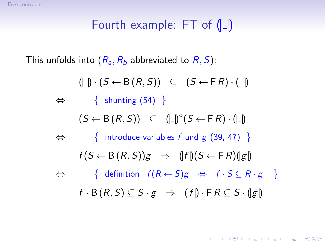# Fourth example:  $FT$  of  $\left(\begin{array}{c} 0 \\ \end{array}\right)$

This unfolds into  $(R_a, R_b$  abbreviated to  $R, S$ ):

 $(|_{\square}| \cdot (S \leftarrow B(R, S)) \subseteq (S \leftarrow F R) \cdot (|\_{\square}|)$  $\Leftrightarrow \{$  shunting (54) }  $(S \leftarrow B(R, S)) \subseteq (\Box \cap)^{\circ} (S \leftarrow F R) \cdot (\Box \cap)$ ⇔ { introduce variables *f* and *g* (39, 47) }  $f(S \leftarrow B(R, S))g \Rightarrow (|f|)(S \leftarrow F R)(|g|)$  $\Leftrightarrow$  { definition  $f(R \leftarrow S)g$   $\Leftrightarrow$   $f \cdot S \subseteq R \cdot g$  }  $f \cdot B(R, S) \subset S \cdot g \Rightarrow (|f|) \cdot F R \subset S \cdot (|g|)$ 

**KORK ERKER ER AGA**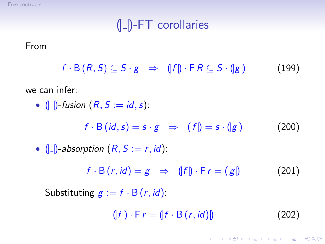<span id="page-27-0"></span> $(|$ <sub>-</sub> $|$ -FT corollaries

#### From

 $f \cdot B(R, S) \subseteq S \cdot g \Rightarrow (|f|) \cdot \mathsf{F} R \subseteq S \cdot (|g|)$  (199)

we can infer:

•  $(|_{-}|)$ -fusion  $(R, S := id, s)$ :

$$
f \cdot B(\textit{id}, s) = s \cdot g \quad \Rightarrow \quad (|f|) = s \cdot (|g|) \tag{200}
$$

• 
$$
(|-)
$$
 -absorption  $(R, S := r, id)$ :

$$
f \cdot B(r, id) = g \Rightarrow (|f|) \cdot F r = (|g|) \tag{201}
$$

Substituting  $g := f \cdot B(r, id)$ :

$$
(\lfloor f \rfloor) \cdot \mathsf{F} \, r = (\lfloor f \cdot \mathsf{B} \, (r, id) \rfloor) \tag{202}
$$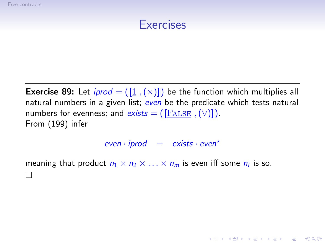#### Exercises

**Exercise 89:** Let *iprod* =  $(\left[1 \right], \left[\times\right)]$  be the function which multiplies all natural numbers in a given list; *even* be the predicate which tests natural numbers for evenness; and  $exists = ([[**FALSE**, (V)]]).$ From [\(199\)](#page-27-0) infer

 $even \cdot iprod = exists \cdot even^*$ 

**A DIA K RIA K E A CHA K H A VIO** 

meaning that product  $n_1 \times n_2 \times \ldots \times n_m$  is even iff some  $n_i$  is so. П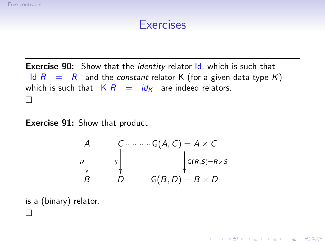#### **Exercises**

<span id="page-29-0"></span>**Exercise 90:** Show that the *identity* relator *ld*, which is such that Id  $R = R$  and the *constant* relator K (for a given data type K) which is such that  $K R = id_K$  are indeed relators. П

**Exercise 91:** Show that product

A  
\n
$$
\begin{array}{ccc}\nA & C & \cdots & G(A, C) = A \times C \\
R & S & \downarrow & G(R, S) = R \times S \\
B & D & \cdots & G(B, D) = B \times D\n\end{array}
$$

K ロ X K @ X K 할 X K 할 X 및 할 X 9 Q Q\*

is a (binary) relator.  $\mathbf{I}$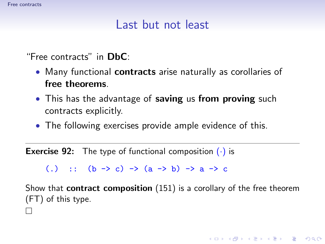## Last but not least

"Free contracts" in DbC:

- Many functional **contracts** arise naturally as corollaries of free theorems.
- This has the advantage of saving us from proving such contracts explicitly.
- The following exercises provide ample evidence of this.

**Exercise 92:** The type of functional composition  $(\cdot)$  is

(.) ::  $(b \rightarrow c) \rightarrow (a \rightarrow b) \rightarrow a \rightarrow c$ 

Show that contract composition (151) is a corollary of the free theorem (FT) of this type.

**A DIA K RIA K E A CHA K H A VIO** 

<span id="page-30-0"></span> $\Box$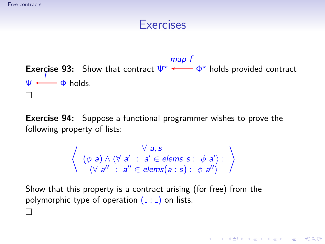## **Exercises**

**Exercise 93:** Show that contract  $\Psi^* \longleftarrow \Phi^*$  holds provided contract *map f*  $\psi \longleftarrow \phi$ *f* holds.  $\Box$ 

Exercise 94: Suppose a functional programmer wishes to prove the following property of lists:

$$
\left\langle \begin{array}{l} \forall a, s \\ (\phi a) \wedge (\forall a' : a' \in \text{elements } s : \phi a') : \\ (\forall a'' : a'' \in \text{elements}(a : s) : \phi a'') \end{array} \right\rangle
$$

**A DIA K RIA K E A CHA K H A VIO** 

Show that this property is a contract arising (for free) from the polymorphic type of operation  $($ .:  $)$  on lists.  $\Box$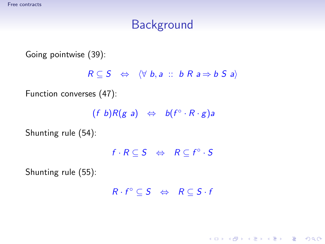# **Background**

Going pointwise (39):

 $R \subseteq S \Leftrightarrow \langle \forall b, a :: b R a \Rightarrow b S a \rangle$ 

Function converses (47):

 $(f \ b)R(g \ a) \Leftrightarrow \ b(f^{\circ} \cdot R \cdot g)a$ 

Shunting rule (54):

 $f \cdot R \subseteq S \Leftrightarrow R \subseteq f^{\circ} \cdot S$ 

Shunting rule (55):

 $R \cdot f^{\circ} \subseteq S \iff R \subseteq S \cdot f$ 

**KORK ERKER ADAM DE KORA**